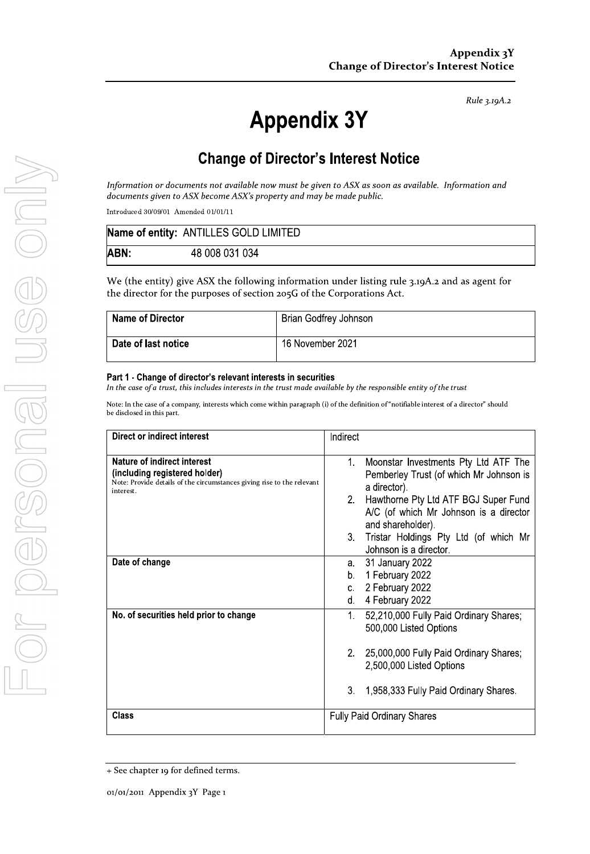Rule 3.19A.2

# **Appendix 3Y**

# **Change of Director's Interest Notice**

Information or documents not available now must be given to ASX as soon as available. Information and documents given to ASX become ASX's property and may be made public.

Introduced 30/09/01 Amended 01/01/11

|      | Name of entity: ANTILLES GOLD LIMITED |
|------|---------------------------------------|
| ABN: | 48 008 031 034                        |

We (the entity) give ASX the following information under listing rule 3.19A.2 and as agent for the director for the purposes of section 205G of the Corporations Act.

| Name of Director    | Brian Godfrey Johnson |
|---------------------|-----------------------|
| Date of last notice | 16 November 2021      |

#### Part 1 - Change of director's relevant interests in securities

In the case of a trust, this includes interests in the trust made available by the responsible entity of the trust

Note: In the case of a company, interests which come within paragraph (i) of the definition of "notifiable interest of a director" should be disclosed in this part.

| Direct or indirect interest                                                                                                            | Indirect                                                                                                  |
|----------------------------------------------------------------------------------------------------------------------------------------|-----------------------------------------------------------------------------------------------------------|
| Nature of indirect interest<br>(including registered holder)<br>Note: Provide details of the circumstances giving rise to the relevant | Moonstar Investments Pty Ltd ATF The<br>1.<br>Pemberley Trust (of which Mr Johnson is<br>a director).     |
| interest.                                                                                                                              | Hawthorne Pty Ltd ATF BGJ Super Fund<br>2.<br>A/C (of which Mr Johnson is a director<br>and shareholder). |
|                                                                                                                                        | 3<br>Tristar Holdings Pty Ltd (of which Mr<br>Johnson is a director.                                      |
| Date of change                                                                                                                         | 31 January 2022<br>a.<br>1 February 2022<br>b.<br>2 February 2022<br>C.<br>4 February 2022<br>d.          |
| No. of securities held prior to change                                                                                                 | 52,210,000 Fully Paid Ordinary Shares;<br>$1_{-}$<br>500,000 Listed Options                               |
|                                                                                                                                        | 2. 25,000,000 Fully Paid Ordinary Shares;<br>2,500,000 Listed Options                                     |
|                                                                                                                                        | 3.<br>1,958,333 Fully Paid Ordinary Shares.                                                               |
| Class                                                                                                                                  | <b>Fully Paid Ordinary Shares</b>                                                                         |

<sup>+</sup> See chapter 19 for defined terms.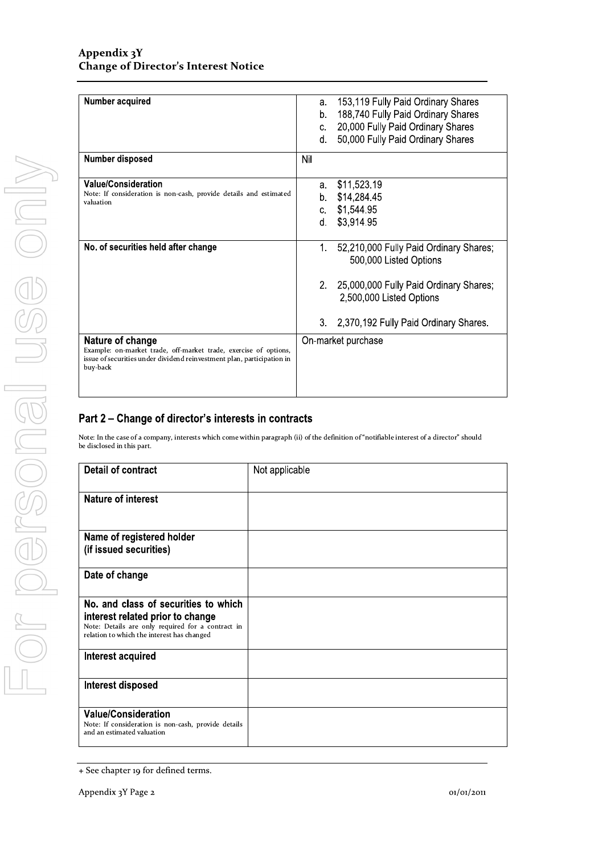| Number acquired                                                                      | 153,119 Fully Paid Ordinary Shares<br>а.                                    |
|--------------------------------------------------------------------------------------|-----------------------------------------------------------------------------|
|                                                                                      | 188,740 Fully Paid Ordinary Shares<br>b.                                    |
|                                                                                      | 20,000 Fully Paid Ordinary Shares<br>C.                                     |
|                                                                                      | 50,000 Fully Paid Ordinary Shares<br>d.                                     |
| Number disposed                                                                      | Nil                                                                         |
|                                                                                      |                                                                             |
| <b>Value/Consideration</b>                                                           | \$11,523.19<br>а.                                                           |
| Note: If consideration is non-cash, provide details and estimated<br>valuation       | \$14,284.45<br>b.                                                           |
|                                                                                      | \$1,544.95<br>C.                                                            |
|                                                                                      | \$3,914.95<br>d.                                                            |
|                                                                                      |                                                                             |
| No. of securities held after change                                                  | $1_{-}$<br>52,210,000 Fully Paid Ordinary Shares;<br>500,000 Listed Options |
|                                                                                      | 2. 25,000,000 Fully Paid Ordinary Shares;<br>2,500,000 Listed Options       |
|                                                                                      | 3.<br>2,370,192 Fully Paid Ordinary Shares.                                 |
| Nature of change<br>Example: on-market trade, off-market trade, exercise of options, | On-market purchase                                                          |
| issue of securities under dividend reinvestment plan, participation in<br>buy-back   |                                                                             |
|                                                                                      |                                                                             |

## Part 2 - Change of director's interests in contracts

Note: In the case of a company, interests which come within paragraph (ii) of the definition of "notifiable interest of a director" should be disclosed in this part.

| Detail of contract                                                                                                                                                          | Not applicable |
|-----------------------------------------------------------------------------------------------------------------------------------------------------------------------------|----------------|
| <b>Nature of interest</b>                                                                                                                                                   |                |
| Name of registered holder<br>(if issued securities)                                                                                                                         |                |
| Date of change                                                                                                                                                              |                |
| No. and class of securities to which<br>interest related prior to change<br>Note: Details are only required for a contract in<br>relation to which the interest has changed |                |
| Interest acquired                                                                                                                                                           |                |
| Interest disposed                                                                                                                                                           |                |
| <b>Value/Consideration</b><br>Note: If consideration is non-cash, provide details<br>and an estimated valuation                                                             |                |

<sup>+</sup> See chapter 19 for defined terms.